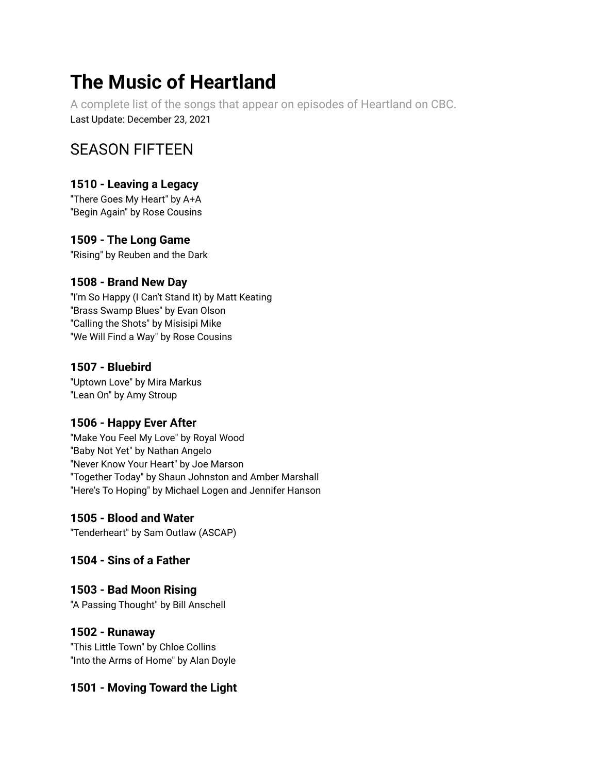# **The Music of Heartland**

A complete list of the songs that appear on episodes of Heartland on CBC. Last Update: December 23, 2021

## SEASON FIFTEEN

## **1510 - Leaving a Legacy**

"There Goes My Heart" by A+A "Begin Again" by Rose Cousins

## **1509 - The Long Game**

"Rising" by Reuben and the Dark

## **1508 - Brand New Day**

"I'm So Happy (I Can't Stand It) by Matt Keating "Brass Swamp Blues" by Evan Olson "Calling the Shots" by Misisipi Mike "We Will Find a Way" by Rose Cousins

## **1507 - Bluebird**

"Uptown Love" by Mira Markus "Lean On" by Amy Stroup

## **1506 - Happy Ever After**

"Make You Feel My Love" by Royal Wood "Baby Not Yet" by Nathan Angelo "Never Know Your Heart" by Joe Marson "Together Today" by Shaun Johnston and Amber Marshall "Here's To Hoping" by Michael Logen and Jennifer Hanson

## **1505 - Blood and Water**

"Tenderheart" by Sam Outlaw (ASCAP)

## **1504 - Sins of a Father**

## **1503 - Bad Moon Rising**

"A Passing Thought" by Bill Anschell

## **1502 - Runaway**

"This Little Town" by Chloe Collins "Into the Arms of Home" by Alan Doyle

## **1501 - Moving Toward the Light**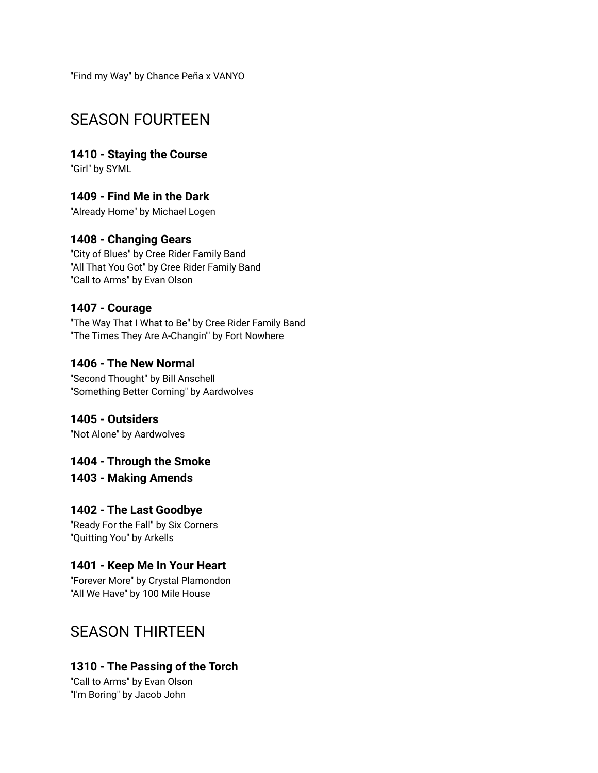"Find my Way" by Chance Peña x VANYO

## SEASON FOURTEEN

**1410 - Staying the Course** "Girl" by SYML

**1409 - Find Me in the Dark**

"Already Home" by Michael Logen

## **1408 - Changing Gears**

"City of Blues" by Cree Rider Family Band "All That You Got" by Cree Rider Family Band "Call to Arms" by Evan Olson

#### **1407 - Courage**

"The Way That I What to Be" by Cree Rider Family Band "The Times They Are A-Changin'" by Fort Nowhere

#### **1406 - The New Normal**

"Second Thought" by Bill Anschell "Something Better Coming" by Aardwolves

**1405 - Outsiders** "Not Alone" by Aardwolves

**1404 - Through the Smoke 1403 - Making Amends**

**1402 - The Last Goodbye**

"Ready For the Fall" by Six Corners "Quitting You" by Arkells

## **1401 - Keep Me In Your Heart**

"Forever More" by Crystal Plamondon "All We Have" by 100 Mile House

## SEASON THIRTEEN

## **1310 - The Passing of the Torch**

"Call to Arms" by Evan Olson "I'm Boring" by Jacob John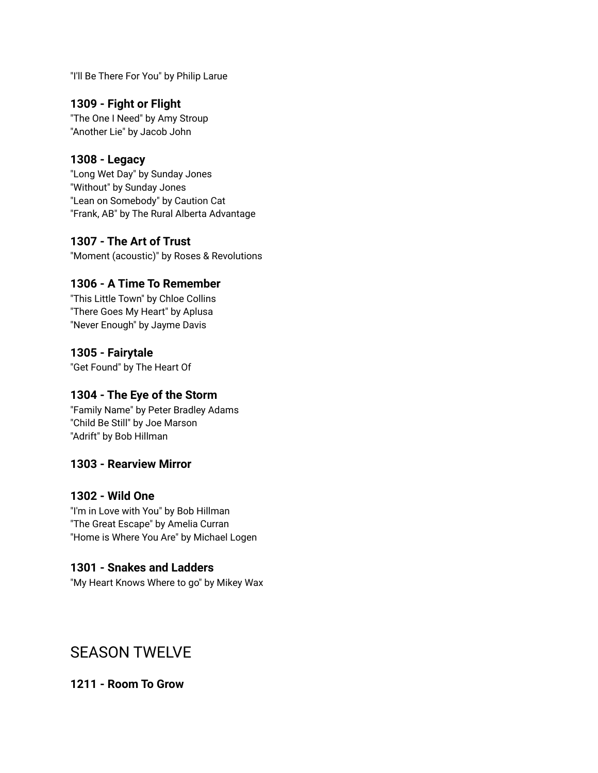"I'll Be There For You" by Philip Larue

### **1309 - Fight or Flight**

"The One I Need" by Amy Stroup "Another Lie" by Jacob John

#### **1308 - Legacy**

"Long Wet Day" by Sunday Jones "Without" by Sunday Jones "Lean on Somebody" by Caution Cat "Frank, AB" by The Rural Alberta Advantage

#### **1307 - The Art of Trust**

"Moment (acoustic)" by Roses & Revolutions

## **1306 - A Time To Remember**

"This Little Town" by Chloe Collins "There Goes My Heart" by Aplusa "Never Enough" by Jayme Davis

#### **1305 - Fairytale**

"Get Found" by The Heart Of

#### **1304 - The Eye of the Storm**

"Family Name" by Peter Bradley Adams "Child Be Still" by Joe Marson "Adrift" by Bob Hillman

#### **1303 - Rearview Mirror**

#### **1302 - Wild One**

"I'm in Love with You" by Bob Hillman "The Great Escape" by Amelia Curran "Home is Where You Are" by Michael Logen

#### **1301 - Snakes and Ladders**

"My Heart Knows Where to go" by Mikey Wax

## SEASON TWELVE

#### **1211 - Room To Grow**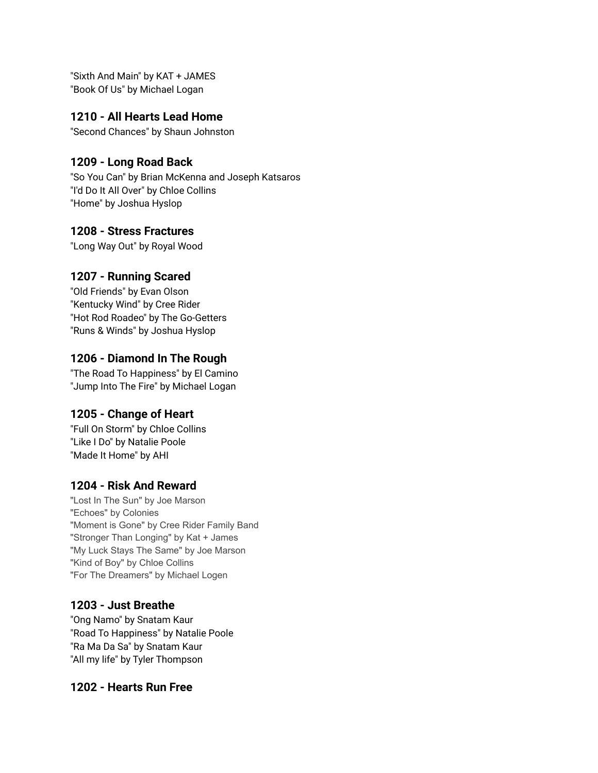"Sixth And Main" by KAT + JAMES "Book Of Us" by Michael Logan

#### **1210 - All Hearts Lead Home**

"Second Chances" by Shaun Johnston

#### **1209 - Long Road Back**

"So You Can" by Brian McKenna and Joseph Katsaros "I'd Do It All Over" by Chloe Collins "Home" by Joshua Hyslop

#### **1208 - Stress Fractures**

"Long Way Out" by Royal Wood

#### **1207 - Running Scared**

"Old Friends" by Evan Olson "Kentucky Wind" by Cree Rider "Hot Rod Roadeo" by The Go-Getters "Runs & Winds" by Joshua Hyslop

#### **1206 - Diamond In The Rough**

"The Road To Happiness" by El Camino "Jump Into The Fire" by Michael Logan

#### **1205 - Change of Heart**

"Full On Storm" by Chloe Collins "Like I Do" by Natalie Poole "Made It Home" by AHI

#### **1204 - Risk And Reward**

"Lost In The Sun" by Joe Marson "Echoes" by Colonies "Moment is Gone" by Cree Rider Family Band "Stronger Than Longing" by Kat + James "My Luck Stays The Same" by Joe Marson "Kind of Boy" by Chloe Collins "For The Dreamers" by Michael Logen

#### **1203 - Just Breathe**

"Ong Namo" by Snatam Kaur "Road To Happiness" by Natalie Poole "Ra Ma Da Sa" by Snatam Kaur "All my life" by Tyler Thompson

#### **1202 - Hearts Run Free**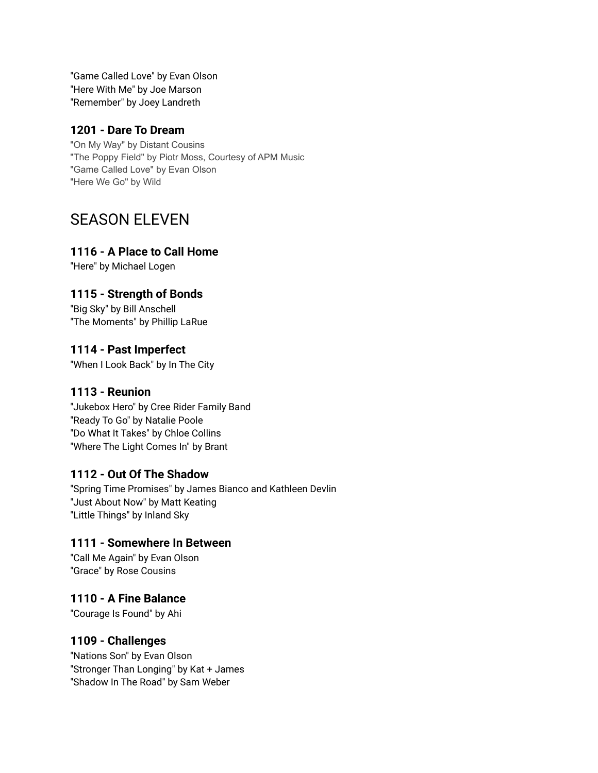"Game Called Love" by Evan Olson "Here With Me" by Joe Marson "Remember" by Joey Landreth

#### **1201 - Dare To Dream**

"On My Way" by Distant Cousins "The Poppy Field" by Piotr Moss, Courtesy of APM Music "Game Called Love" by Evan Olson "Here We Go" by Wild

## SEASON ELEVEN

#### **1116 - A Place to Call Home**

"Here" by Michael Logen

#### **1115 - Strength of Bonds**

"Big Sky" by Bill Anschell "The Moments" by Phillip LaRue

#### **1114 - Past Imperfect**

"When I Look Back" by In The City

#### **1113 - Reunion**

"Jukebox Hero" by Cree Rider Family Band "Ready To Go" by Natalie Poole "Do What It Takes" by Chloe Collins "Where The Light Comes In" by Brant

#### **1112 - Out Of The Shadow**

"Spring Time Promises" by James Bianco and Kathleen Devlin "Just About Now" by Matt Keating "Little Things" by Inland Sky

#### **1111 - Somewhere In Between**

"Call Me Again" by Evan Olson "Grace" by Rose Cousins

#### **1110 - A Fine Balance**

"Courage Is Found" by Ahi

#### **1109 - Challenges**

"Nations Son" by Evan Olson "Stronger Than Longing" by Kat + James "Shadow In The Road" by Sam Weber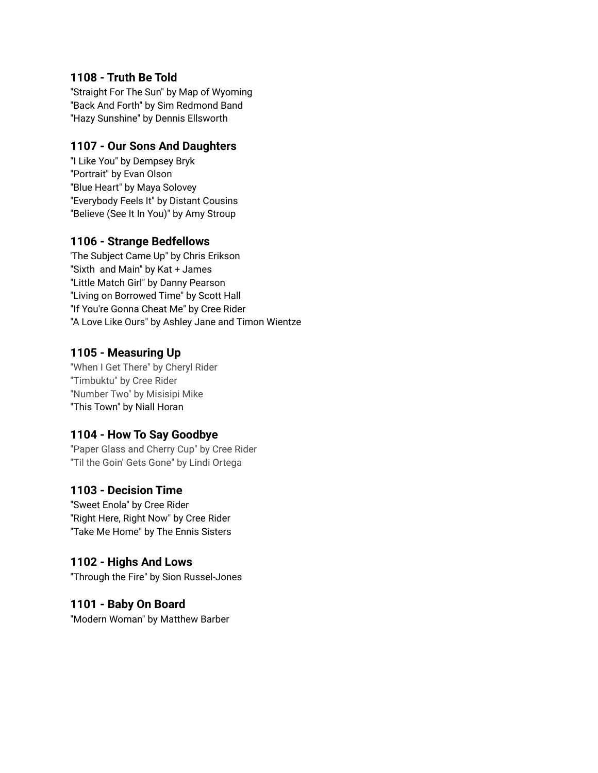#### **1108 - Truth Be Told**

"Straight For The Sun" by Map of Wyoming "Back And Forth" by Sim Redmond Band "Hazy Sunshine" by Dennis Ellsworth

#### **1107 - Our Sons And Daughters**

"I Like You" by Dempsey Bryk "Portrait" by Evan Olson "Blue Heart" by Maya Solovey "Everybody Feels It" by Distant Cousins "Believe (See It In You)" by Amy Stroup

#### **1106 - Strange Bedfellows**

'The Subject Came Up" by Chris Erikson "Sixth and Main" by Kat + James "Little Match Girl" by Danny Pearson "Living on Borrowed Time" by Scott Hall "If You're Gonna Cheat Me" by Cree Rider "A Love Like Ours" by Ashley Jane and Timon Wientze

#### **1105 - Measuring Up**

"When I Get There" by Cheryl Rider "Timbuktu" by Cree Rider "Number Two" by Misisipi Mike "This Town" by Niall Horan

#### **1104 - How To Say Goodbye**

"Paper Glass and Cherry Cup" by Cree Rider "Til the Goin' Gets Gone" by Lindi Ortega

#### **1103 - Decision Time**

"Sweet Enola" by Cree Rider "Right Here, Right Now" by Cree Rider "Take Me Home" by The Ennis Sisters

#### **1102 - Highs And Lows**

"Through the Fire" by Sion Russel-Jones

#### **1101 - Baby On Board**

"Modern Woman" by Matthew Barber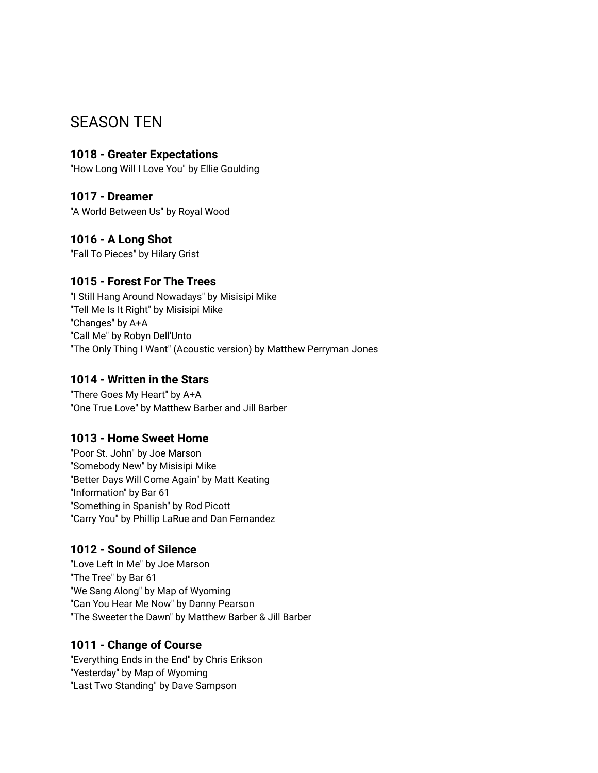## SEASON TEN

### **1018 - Greater Expectations**

"How Long Will I Love You" by Ellie Goulding

#### **1017 - Dreamer**

"A World Between Us" by Royal Wood

## **1016 - A Long Shot**

"Fall To Pieces" by Hilary Grist

#### **1015 - Forest For The Trees**

"I Still Hang Around Nowadays" by Misisipi Mike "Tell Me Is It Right" by Misisipi Mike "Changes" by A+A "Call Me" by Robyn Dell'Unto "The Only Thing I Want" (Acoustic version) by Matthew Perryman Jones

#### **1014 - Written in the Stars**

"There Goes My Heart" by A+A "One True Love" by Matthew Barber and Jill Barber

#### **1013 - Home Sweet Home**

"Poor St. John" by Joe Marson "Somebody New" by Misisipi Mike "Better Days Will Come Again" by Matt Keating "Information" by Bar 61 "Something in Spanish" by Rod Picott "Carry You" by Phillip LaRue and Dan Fernandez

## **1012 - Sound of Silence**

"Love Left In Me" by Joe Marson "The Tree" by Bar 61 "We Sang Along" by Map of Wyoming "Can You Hear Me Now" by Danny Pearson "The Sweeter the Dawn" by Matthew Barber & Jill Barber

#### **1011 - Change of Course**

"Everything Ends in the End" by Chris Erikson "Yesterday" by Map of Wyoming "Last Two Standing" by Dave Sampson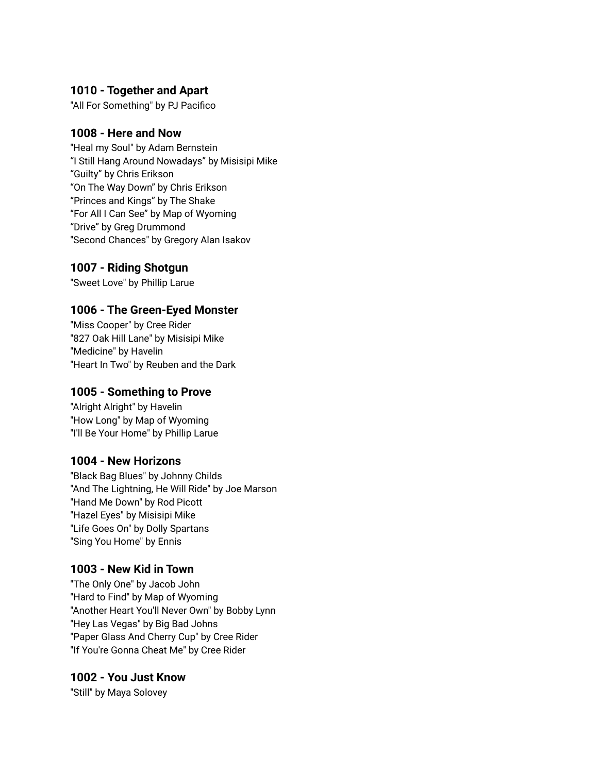#### **1010 - Together and Apart**

"All For Something" by PJ Pacifico

#### **1008 - Here and Now**

"Heal my Soul" by Adam Bernstein "I Still Hang Around Nowadays" by Misisipi Mike "Guilty" by Chris Erikson "On The Way Down" by Chris Erikson "Princes and Kings" by The Shake "For All I Can See" by Map of Wyoming "Drive" by Greg Drummond "Second Chances" by Gregory Alan Isakov

#### **1007 - Riding Shotgun**

"Sweet Love" by Phillip Larue

#### **1006 - The Green-Eyed Monster**

"Miss Cooper" by Cree Rider "827 Oak Hill Lane" by Misisipi Mike "Medicine" by Havelin "Heart In Two" by Reuben and the Dark

#### **1005 - Something to Prove**

"Alright Alright" by Havelin "How Long" by Map of Wyoming "I'll Be Your Home" by Phillip Larue

#### **1004 - New Horizons**

"Black Bag Blues" by Johnny Childs "And The Lightning, He Will Ride" by Joe Marson "Hand Me Down" by Rod Picott "Hazel Eyes" by Misisipi Mike "Life Goes On" by Dolly Spartans "Sing You Home" by Ennis

#### **1003 - New Kid in Town**

"The Only One" by Jacob John "Hard to Find" by Map of Wyoming "Another Heart You'll Never Own" by Bobby Lynn "Hey Las Vegas" by Big Bad Johns "Paper Glass And Cherry Cup" by Cree Rider "If You're Gonna Cheat Me" by Cree Rider

#### **1002 - You Just Know**

"Still" by Maya Solovey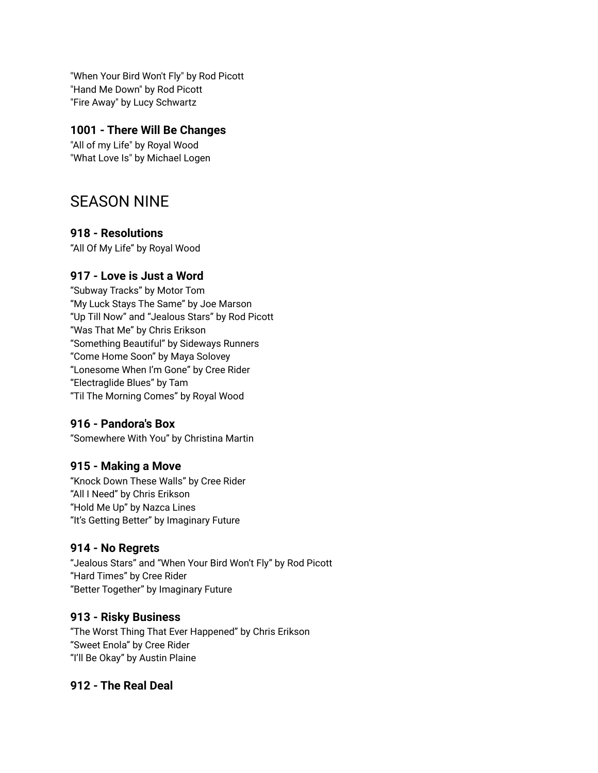"When Your Bird Won't Fly" by Rod Picott "Hand Me Down" by Rod Picott "Fire Away" by Lucy Schwartz

#### **1001 - There Will Be Changes**

"All of my Life" by Royal Wood "What Love Is" by Michael Logen

## SEASON NINE

#### **918 - Resolutions**

"All Of My Life" by Royal Wood

## **917 - Love is Just a Word**

"Subway Tracks" by Motor Tom "My Luck Stays The Same" by Joe Marson "Up Till Now" and "Jealous Stars" by Rod Picott "Was That Me" by Chris Erikson "Something Beautiful" by Sideways Runners "Come Home Soon" by Maya Solovey "Lonesome When I'm Gone" by Cree Rider "Electraglide Blues" by Tam "Til The Morning Comes" by Royal Wood

## **916 - Pandora's Box**

"Somewhere With You" by Christina Martin

## **915 - Making a Move**

"Knock Down These Walls" by Cree Rider "All I Need" by Chris Erikson "Hold Me Up" by Nazca Lines "It's Getting Better" by Imaginary Future

## **914 - No Regrets**

"Jealous Stars" and "When Your Bird Won't Fly" by Rod Picott "Hard Times" by Cree Rider "Better Together" by Imaginary Future

## **913 - Risky Business**

"The Worst Thing That Ever Happened" by Chris Erikson "Sweet Enola" by Cree Rider "I'll Be Okay" by Austin Plaine

## **912 - The Real Deal**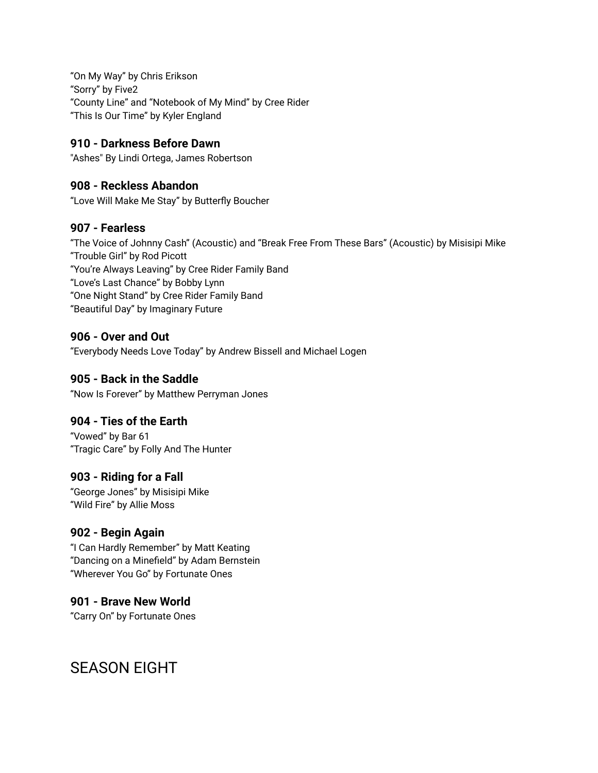"On My Way" by Chris Erikson "Sorry" by Five2 "County Line" and "Notebook of My Mind" by Cree Rider "This Is Our Time" by Kyler England

#### **910 - Darkness Before Dawn**

"Ashes" By Lindi Ortega, James Robertson

#### **908 - Reckless Abandon**

"Love Will Make Me Stay" by Butterfly Boucher

#### **907 - Fearless**

"The Voice of Johnny Cash" (Acoustic) and "Break Free From These Bars" (Acoustic) by Misisipi Mike "Trouble Girl" by Rod Picott "You're Always Leaving" by Cree Rider Family Band "Love's Last Chance" by Bobby Lynn "One Night Stand" by Cree Rider Family Band "Beautiful Day" by Imaginary Future

#### **906 - Over and Out**

"Everybody Needs Love Today" by Andrew Bissell and Michael Logen

#### **905 - Back in the Saddle**

"Now Is Forever" by Matthew Perryman Jones

#### **904 - Ties of the Earth**

"Vowed" by Bar 61 "Tragic Care" by Folly And The Hunter

#### **903 - Riding for a Fall**

"George Jones" by Misisipi Mike "Wild Fire" by Allie Moss

#### **902 - Begin Again**

"I Can Hardly Remember" by Matt Keating "Dancing on a Minefield" by Adam Bernstein "Wherever You Go" by Fortunate Ones

## **901 - Brave New World**

"Carry On" by Fortunate Ones

## SEASON EIGHT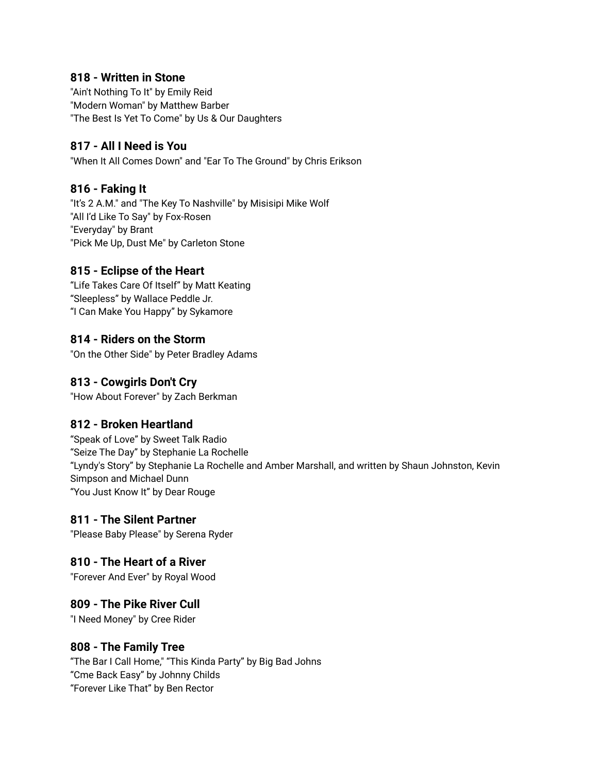#### **818 - Written in Stone**

"Ain't Nothing To It" by Emily Reid "Modern Woman" by Matthew Barber "The Best Is Yet To Come" by Us & Our Daughters

#### **817 - All I Need is You**

"When It All Comes Down" and "Ear To The Ground" by Chris Erikson

#### **816 - Faking It**

"It's 2 A.M." and "The Key To Nashville" by Misisipi Mike Wolf "All I'd Like To Say" by Fox-Rosen "Everyday" by Brant "Pick Me Up, Dust Me" by Carleton Stone

#### **815 - Eclipse of the Heart**

"Life Takes Care Of Itself" by Matt Keating "Sleepless" by Wallace Peddle Jr. "I Can Make You Happy" by Sykamore

#### **814 - Riders on the Storm**

"On the Other Side" by Peter Bradley Adams

#### **813 - Cowgirls Don't Cry**

"How About Forever" by Zach Berkman

#### **812 - Broken Heartland**

"Speak of Love" by Sweet Talk Radio "Seize The Day" by Stephanie La Rochelle "Lyndy's Story" by Stephanie La Rochelle and Amber Marshall, and written by Shaun Johnston, Kevin Simpson and Michael Dunn "You Just Know It" by Dear Rouge

#### **811 - The Silent Partner**

"Please Baby Please" by Serena Ryder

#### **810 - The Heart of a River**

"Forever And Ever" by Royal Wood

#### **809 - The Pike River Cull**

"I Need Money" by Cree Rider

#### **808 - The Family Tree**

"The Bar I Call Home," "This Kinda Party" by Big Bad Johns "Cme Back Easy" by Johnny Childs "Forever Like That" by Ben Rector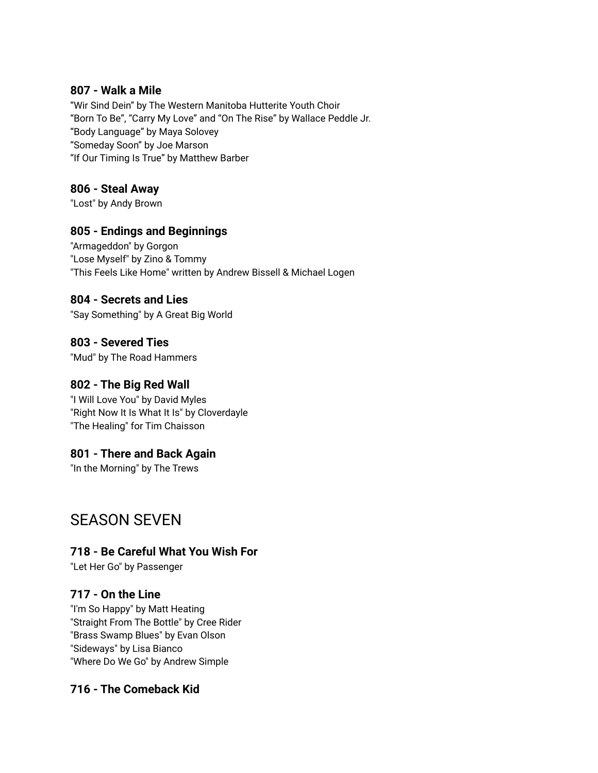#### **807 - Walk a Mile**

"Wir Sind Dein" by The Western Manitoba Hutterite Youth Choir "Born To Be", "Carry My Love" and "On The Rise" by Wallace Peddle Jr. "Body Language" by Maya Solovey "Someday Soon" by Joe Marson "If Our Timing Is True" by Matthew Barber

#### **806 - Steal Away**

"Lost" by Andy Brown

#### **805 - Endings and Beginnings**

"Armageddon" by Gorgon "Lose Myself" by Zino & Tommy "This Feels Like Home" written by Andrew Bissell & Michael Logen

#### **804 - Secrets and Lies**

"Say Something" by A Great Big World

**803 - Severed Ties** "Mud" by The Road Hammers

#### **802 - The Big Red Wall**

"I Will Love You" by David Myles "Right Now It Is What It Is" by Cloverdayle "The Healing" for Tim Chaisson

#### **801 - There and Back Again**

"In the Morning" by The Trews

## SEASON SEVEN

#### **718 - Be Careful What You Wish For**

"Let Her Go" by Passenger

#### **717 - On the Line**

"I'm So Happy" by Matt Heating "Straight From The Bottle" by Cree Rider "Brass Swamp Blues" by Evan Olson "Sideways" by Lisa Bianco "Where Do We Go" by Andrew Simple

#### **716 - The Comeback Kid**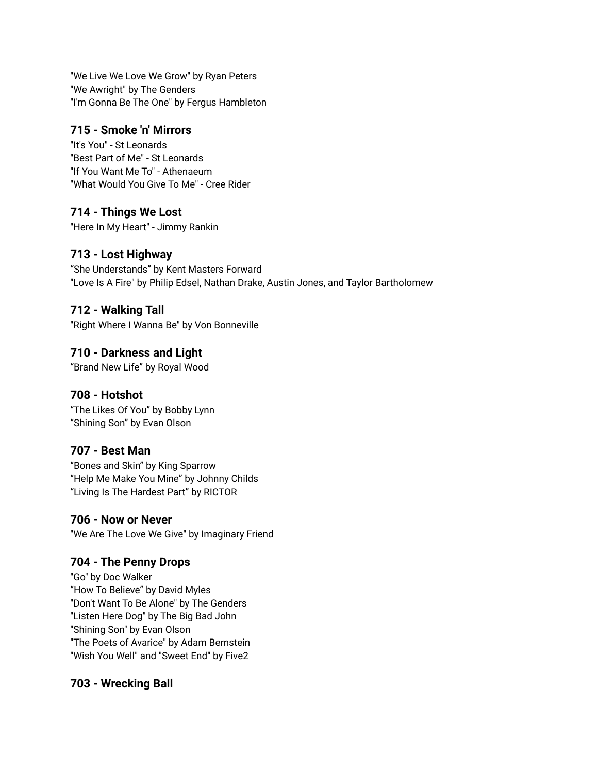"We Live We Love We Grow" by Ryan Peters "We Awright" by The Genders "I'm Gonna Be The One" by Fergus Hambleton

#### **715 - Smoke 'n' Mirrors**

"It's You" - St Leonards "Best Part of Me" - St Leonards "If You Want Me To" - Athenaeum "What Would You Give To Me" - Cree Rider

#### **714 - Things We Lost**

"Here In My Heart" - Jimmy Rankin

## **713 - Lost Highway**

"She Understands" by Kent Masters Forward "Love Is A Fire" by Philip Edsel, Nathan Drake, Austin Jones, and Taylor Bartholomew

#### **712 - Walking Tall**

"Right Where I Wanna Be" by Von Bonneville

## **710 - Darkness and Light**

"Brand New Life" by Royal Wood

## **708 - Hotshot**

"The Likes Of You" by Bobby Lynn "Shining Son" by Evan Olson

## **707 - Best Man**

"Bones and Skin" by King Sparrow "Help Me Make You Mine" by Johnny Childs "Living Is The Hardest Part" by RICTOR

#### **706 - Now or Never**

"We Are The Love We Give" by Imaginary Friend

## **704 - The Penny Drops**

"Go" by Doc Walker "How To Believe" by David Myles "Don't Want To Be Alone" by The Genders "Listen Here Dog" by The Big Bad John "Shining Son" by Evan Olson "The Poets of Avarice" by Adam Bernstein "Wish You Well" and "Sweet End" by Five2

## **703 - Wrecking Ball**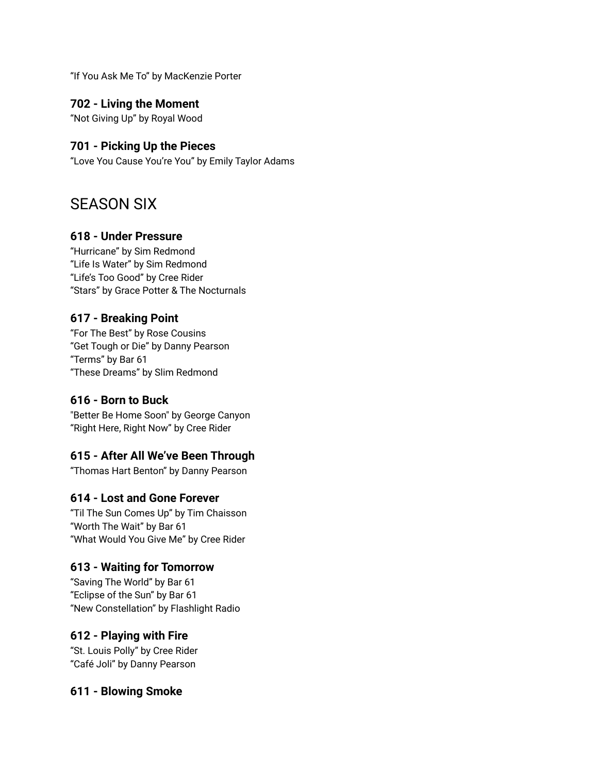"If You Ask Me To" by MacKenzie Porter

#### **702 - Living the Moment**

"Not Giving Up" by Royal Wood

#### **701 - Picking Up the Pieces**

"Love You Cause You're You" by Emily Taylor Adams

## SEASON SIX

#### **618 - Under Pressure**

"Hurricane" by Sim Redmond "Life Is Water" by Sim Redmond "Life's Too Good" by Cree Rider "Stars" by Grace Potter & The Nocturnals

#### **617 - Breaking Point**

"For The Best" by Rose Cousins "Get Tough or Die" by Danny Pearson "Terms" by Bar 61 "These Dreams" by Slim Redmond

#### **616 - Born to Buck**

"Better Be Home Soon" by George Canyon "Right Here, Right Now" by Cree Rider

## **615 - After All We've Been Through**

"Thomas Hart Benton" by Danny Pearson

## **614 - Lost and Gone Forever**

"Til The Sun Comes Up" by Tim Chaisson "Worth The Wait" by Bar 61 "What Would You Give Me" by Cree Rider

#### **613 - Waiting for Tomorrow**

"Saving The World" by Bar 61 "Eclipse of the Sun" by Bar 61 "New Constellation" by Flashlight Radio

#### **612 - Playing with Fire**

"St. Louis Polly" by Cree Rider "Café Joli" by Danny Pearson

#### **611 - Blowing Smoke**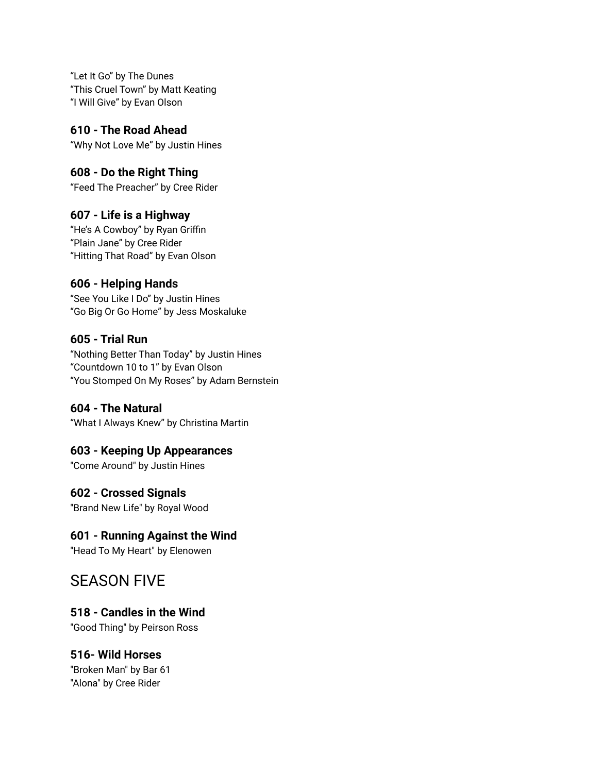"Let It Go" by The Dunes "This Cruel Town" by Matt Keating "I Will Give" by Evan Olson

**610 - The Road Ahead** "Why Not Love Me" by Justin Hines

## **608 - Do the Right Thing**

"Feed The Preacher" by Cree Rider

## **607 - Life is a Highway**

"He's A Cowboy" by Ryan Griffin "Plain Jane" by Cree Rider "Hitting That Road" by Evan Olson

#### **606 - Helping Hands**

"See You Like I Do" by Justin Hines "Go Big Or Go Home" by Jess Moskaluke

#### **605 - Trial Run**

"Nothing Better Than Today" by Justin Hines "Countdown 10 to 1" by Evan Olson "You Stomped On My Roses" by Adam Bernstein

#### **604 - The Natural**

"What I Always Knew" by Christina Martin

#### **603 - Keeping Up Appearances**

"Come Around" by Justin Hines

## **602 - Crossed Signals**

"Brand New Life" by Royal Wood

## **601 - Running Against the Wind**

"Head To My Heart" by Elenowen

## SEASON FIVE

## **518 - Candles in the Wind**

"Good Thing" by Peirson Ross

## **516- Wild Horses**

"Broken Man" by Bar 61 "Alona" by Cree Rider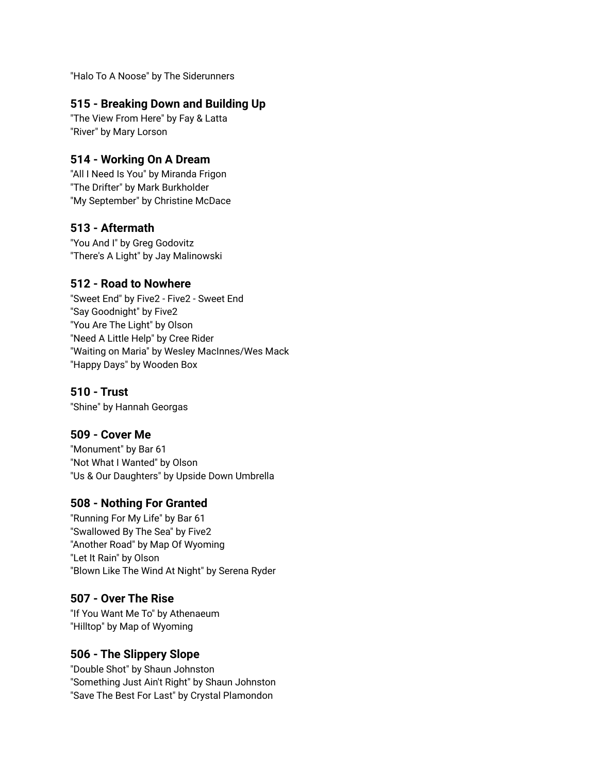"Halo To A Noose" by The Siderunners

#### **515 - Breaking Down and Building Up**

"The View From Here" by Fay & Latta "River" by Mary Lorson

### **514 - Working On A Dream**

"All I Need Is You" by Miranda Frigon "The Drifter" by Mark Burkholder "My September" by Christine McDace

#### **513 - Aftermath**

"You And I" by Greg Godovitz "There's A Light" by Jay Malinowski

#### **512 - Road to Nowhere**

"Sweet End" by Five2 - Five2 - Sweet End "Say Goodnight" by Five2 "You Are The Light" by Olson "Need A Little Help" by Cree Rider "Waiting on Maria" by Wesley MacInnes/Wes Mack "Happy Days" by Wooden Box

### **510 - Trust**

"Shine" by Hannah Georgas

#### **509 - Cover Me**

"Monument" by Bar 61 "Not What I Wanted" by Olson "Us & Our Daughters" by Upside Down Umbrella

## **508 - Nothing For Granted**

"Running For My Life" by Bar 61 "Swallowed By The Sea" by Five2 "Another Road" by Map Of Wyoming "Let It Rain" by Olson "Blown Like The Wind At Night" by Serena Ryder

#### **507 - Over The Rise**

"If You Want Me To" by Athenaeum "Hilltop" by Map of Wyoming

#### **506 - The Slippery Slope**

"Double Shot" by Shaun Johnston "Something Just Ain't Right" by Shaun Johnston "Save The Best For Last" by Crystal Plamondon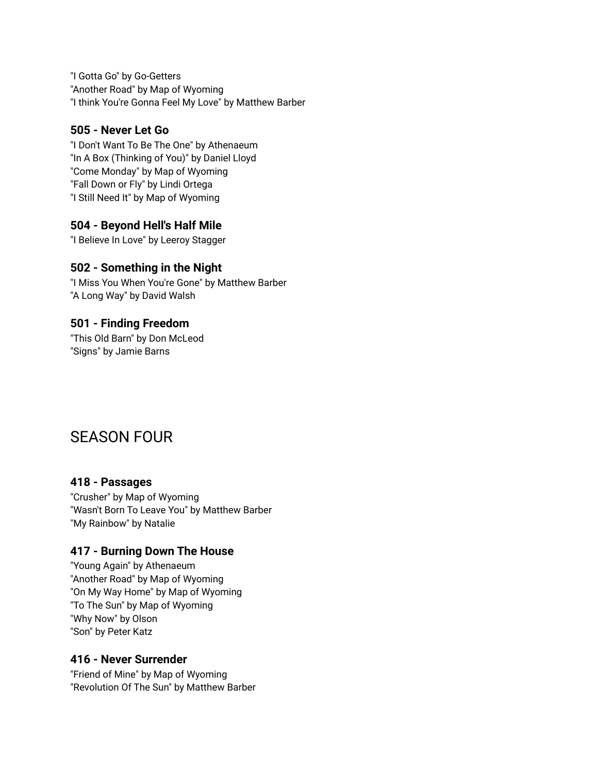"I Gotta Go" by Go-Getters "Another Road" by Map of Wyoming "I think You're Gonna Feel My Love" by Matthew Barber

#### **505 - Never Let Go**

"I Don't Want To Be The One" by Athenaeum "In A Box (Thinking of You)" by Daniel Lloyd "Come Monday" by Map of Wyoming "Fall Down or Fly" by Lindi Ortega "I Still Need It" by Map of Wyoming

## **504 - Beyond Hell's Half Mile**

"I Believe In Love" by Leeroy Stagger

## **502 - Something in the Night**

"I Miss You When You're Gone" by Matthew Barber "A Long Way" by David Walsh

#### **501 - Finding Freedom**

"This Old Barn" by Don McLeod "Signs" by Jamie Barns

## SEASON FOUR

## **418 - Passages**

"Crusher" by Map of Wyoming "Wasn't Born To Leave You" by Matthew Barber "My Rainbow" by Natalie

#### **417 - Burning Down The House**

"Young Again" by Athenaeum "Another Road" by Map of Wyoming "On My Way Home" by Map of Wyoming "To The Sun" by Map of Wyoming "Why Now" by Olson "Son" by Peter Katz

## **416 - Never Surrender**

"Friend of Mine" by Map of Wyoming "Revolution Of The Sun" by Matthew Barber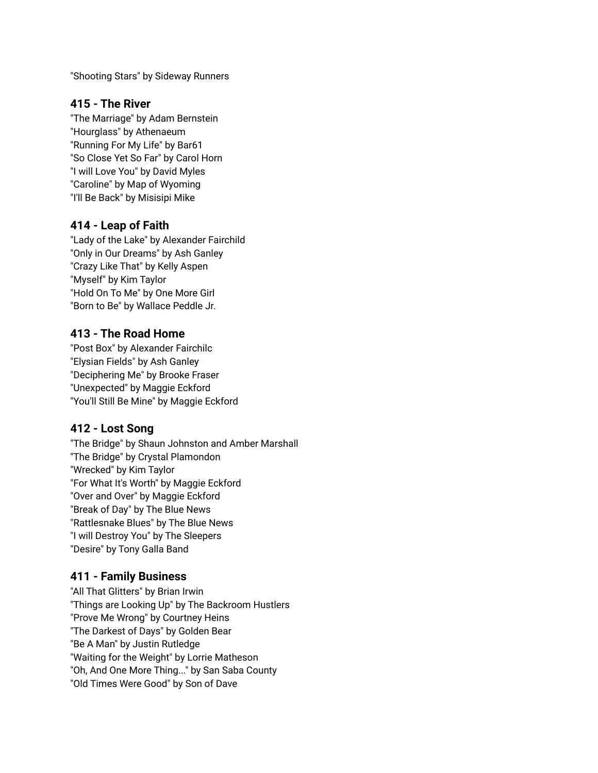"Shooting Stars" by Sideway Runners

#### **415 - The River**

"The Marriage" by Adam Bernstein "Hourglass" by Athenaeum "Running For My Life" by Bar61 "So Close Yet So Far" by Carol Horn "I will Love You" by David Myles "Caroline" by Map of Wyoming "I'll Be Back" by Misisipi Mike

#### **414 - Leap of Faith**

"Lady of the Lake" by Alexander Fairchild "Only in Our Dreams" by Ash Ganley "Crazy Like That" by Kelly Aspen "Myself" by Kim Taylor "Hold On To Me" by One More Girl "Born to Be" by Wallace Peddle Jr.

#### **413 - The Road Home**

"Post Box" by Alexander Fairchilc "Elysian Fields" by Ash Ganley "Deciphering Me" by Brooke Fraser "Unexpected" by Maggie Eckford "You'll Still Be Mine" by Maggie Eckford

#### **412 - Lost Song**

"The Bridge" by Shaun Johnston and Amber Marshall "The Bridge" by Crystal Plamondon "Wrecked" by Kim Taylor "For What It's Worth" by Maggie Eckford "Over and Over" by Maggie Eckford "Break of Day" by The Blue News "Rattlesnake Blues" by The Blue News "I will Destroy You" by The Sleepers "Desire" by Tony Galla Band

## **411 - Family Business**

"All That Glitters" by Brian Irwin "Things are Looking Up" by The Backroom Hustlers "Prove Me Wrong" by Courtney Heins "The Darkest of Days" by Golden Bear "Be A Man" by Justin Rutledge "Waiting for the Weight" by Lorrie Matheson "Oh, And One More Thing..." by San Saba County "Old Times Were Good" by Son of Dave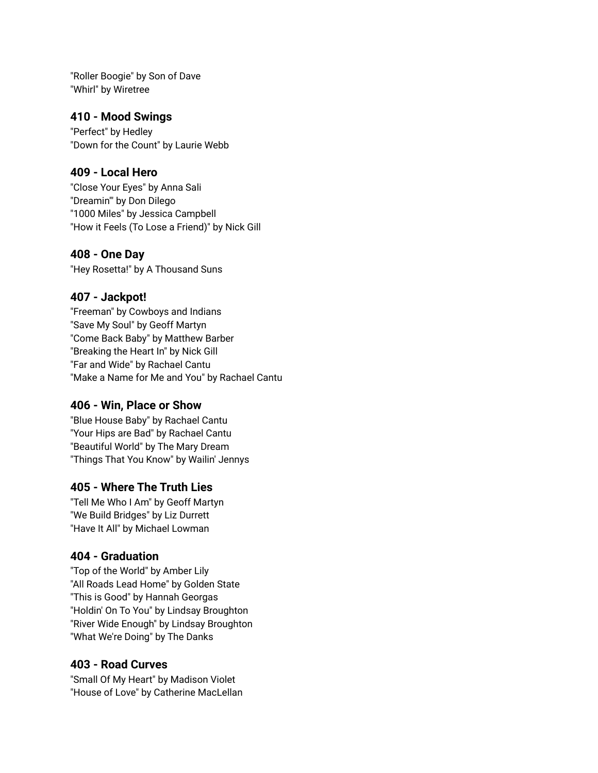"Roller Boogie" by Son of Dave "Whirl" by Wiretree

#### **410 - Mood Swings**

"Perfect" by Hedley "Down for the Count" by Laurie Webb

#### **409 - Local Hero**

"Close Your Eyes" by Anna Sali "Dreamin'" by Don Dilego "1000 Miles" by Jessica Campbell "How it Feels (To Lose a Friend)" by Nick Gill

#### **408 - One Day**

"Hey Rosetta!" by A Thousand Suns

#### **407 - Jackpot!**

"Freeman" by Cowboys and Indians "Save My Soul" by Geoff Martyn "Come Back Baby" by Matthew Barber "Breaking the Heart In" by Nick Gill "Far and Wide" by Rachael Cantu "Make a Name for Me and You" by Rachael Cantu

#### **406 - Win, Place or Show**

"Blue House Baby" by Rachael Cantu "Your Hips are Bad" by Rachael Cantu "Beautiful World" by The Mary Dream "Things That You Know" by Wailin' Jennys

#### **405 - Where The Truth Lies**

"Tell Me Who I Am" by Geoff Martyn "We Build Bridges" by Liz Durrett "Have It All" by Michael Lowman

#### **404 - Graduation**

"Top of the World" by Amber Lily "All Roads Lead Home" by Golden State "This is Good" by Hannah Georgas "Holdin' On To You" by Lindsay Broughton "River Wide Enough" by Lindsay Broughton "What We're Doing" by The Danks

#### **403 - Road Curves**

"Small Of My Heart" by Madison Violet "House of Love" by Catherine MacLellan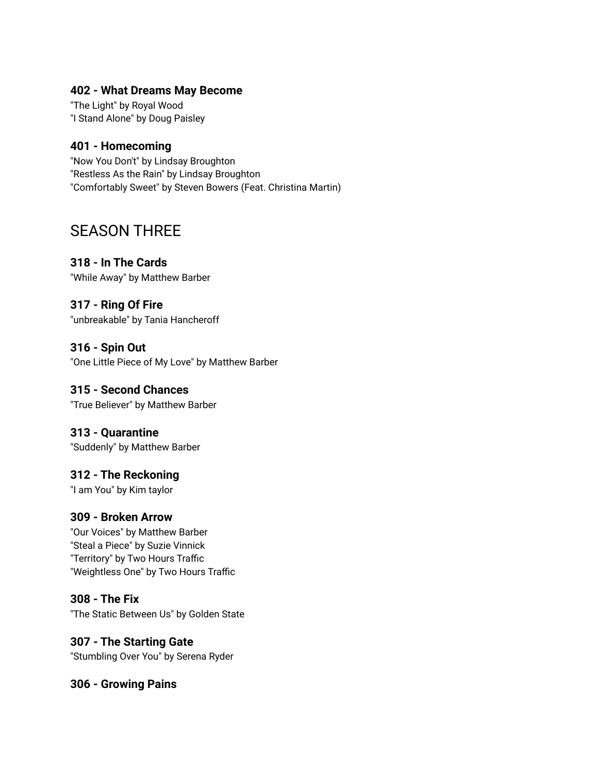#### **402 - What Dreams May Become**

"The Light" by Royal Wood "I Stand Alone" by Doug Paisley

#### **401 - Homecoming**

"Now You Don't" by Lindsay Broughton "Restless As the Rain" by Lindsay Broughton "Comfortably Sweet" by Steven Bowers (Feat. Christina Martin)

## SEASON THREE

#### **318 - In The Cards**

"While Away" by Matthew Barber

## **317 - Ring Of Fire**

"unbreakable" by Tania Hancheroff

#### **316 - Spin Out**

"One Little Piece of My Love" by Matthew Barber

#### **315 - Second Chances**

"True Believer" by Matthew Barber

#### **313 - Quarantine**

"Suddenly" by Matthew Barber

#### **312 - The Reckoning**

"I am You" by Kim taylor

#### **309 - Broken Arrow**

"Our Voices" by Matthew Barber "Steal a Piece" by Suzie Vinnick "Territory" by Two Hours Traffic "Weightless One" by Two Hours Traffic

#### **308 - The Fix**

"The Static Between Us" by Golden State

#### **307 - The Starting Gate**

"Stumbling Over You" by Serena Ryder

#### **306 - Growing Pains**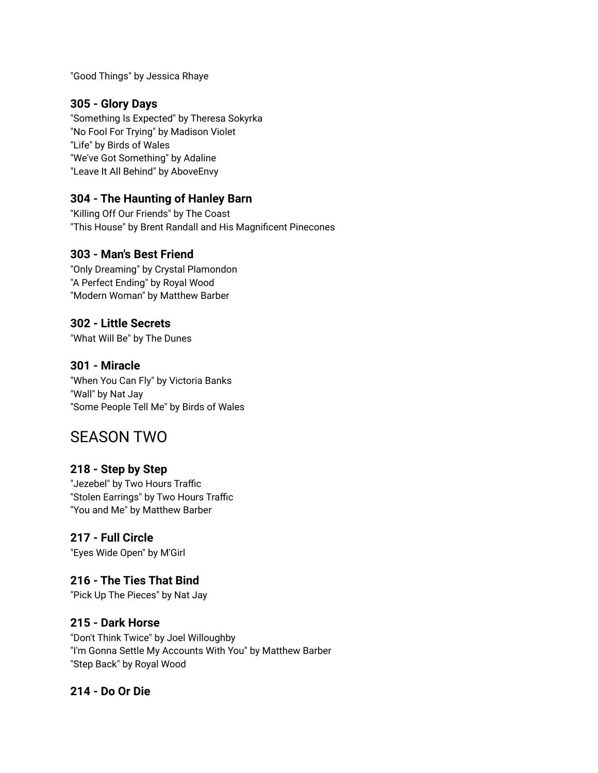"Good Things" by Jessica Rhaye

#### **305 - Glory Days**

"Something Is Expected" by Theresa Sokyrka "No Fool For Trying" by Madison Violet "Life" by Birds of Wales "We've Got Something" by Adaline "Leave It All Behind" by AboveEnvy

#### **304 - The Haunting of Hanley Barn**

"Killing Off Our Friends" by The Coast "This House" by Brent Randall and His Magnificent Pinecones

#### **303 - Man's Best Friend**

"Only Dreaming" by Crystal Plamondon "A Perfect Ending" by Royal Wood "Modern Woman" by Matthew Barber

#### **302 - Little Secrets**

"What Will Be" by The Dunes

#### **301 - Miracle**

"When You Can Fly" by Victoria Banks "Wall" by Nat Jay "Some People Tell Me" by Birds of Wales

## SEASON TWO

#### **218 - Step by Step**

"Jezebel" by Two Hours Traffic "Stolen Earrings" by Two Hours Traffic "You and Me" by Matthew Barber

## **217 - Full Circle**

"Eyes Wide Open" by M'Girl

#### **216 - The Ties That Bind**

"Pick Up The Pieces" by Nat Jay

#### **215 - Dark Horse**

"Don't Think Twice" by Joel Willoughby "I'm Gonna Settle My Accounts With You" by Matthew Barber "Step Back" by Royal Wood

#### **214 - Do Or Die**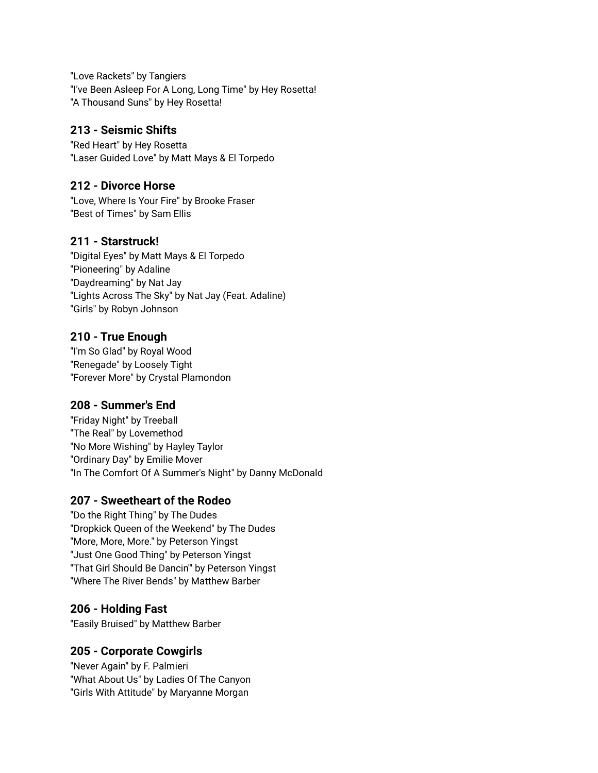"Love Rackets" by Tangiers "I've Been Asleep For A Long, Long Time" by Hey Rosetta! "A Thousand Suns" by Hey Rosetta!

### **213 - Seismic Shifts**

"Red Heart" by Hey Rosetta "Laser Guided Love" by Matt Mays & El Torpedo

#### **212 - Divorce Horse**

"Love, Where Is Your Fire" by Brooke Fraser "Best of Times" by Sam Ellis

#### **211 - Starstruck!**

"Digital Eyes" by Matt Mays & El Torpedo "Pioneering" by Adaline "Daydreaming" by Nat Jay "Lights Across The Sky" by Nat Jay (Feat. Adaline) "Girls" by Robyn Johnson

#### **210 - True Enough**

"I'm So Glad" by Royal Wood "Renegade" by Loosely Tight "Forever More" by Crystal Plamondon

## **208 - Summer's End**

"Friday Night" by Treeball "The Real" by Lovemethod "No More Wishing" by Hayley Taylor "Ordinary Day" by Emilie Mover "In The Comfort Of A Summer's Night" by Danny McDonald

## **207 - Sweetheart of the Rodeo**

"Do the Right Thing" by The Dudes "Dropkick Queen of the Weekend" by The Dudes "More, More, More." by Peterson Yingst "Just One Good Thing" by Peterson Yingst "That Girl Should Be Dancin'" by Peterson Yingst "Where The River Bends" by Matthew Barber

## **206 - Holding Fast**

"Easily Bruised" by Matthew Barber

## **205 - Corporate Cowgirls**

"Never Again" by F. Palmieri "What About Us" by Ladies Of The Canyon "Girls With Attitude" by Maryanne Morgan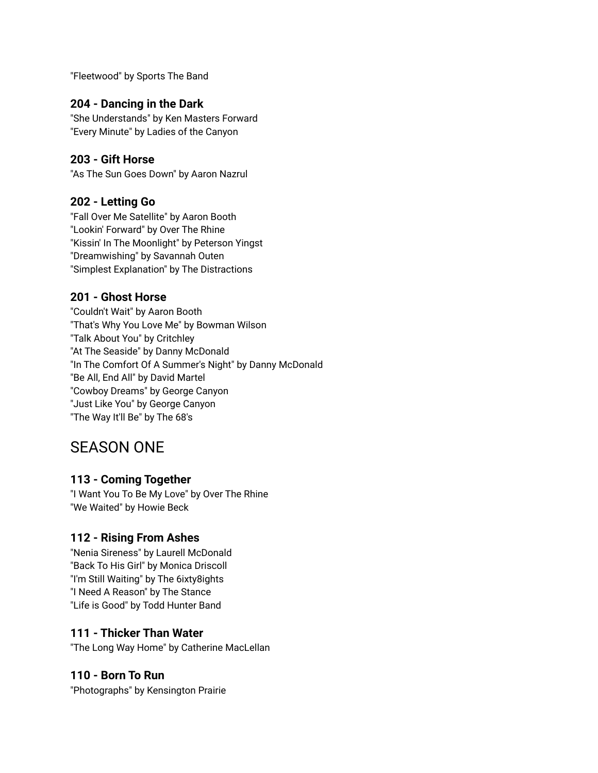"Fleetwood" by Sports The Band

#### **204 - Dancing in the Dark**

"She Understands" by Ken Masters Forward "Every Minute" by Ladies of the Canyon

#### **203 - Gift Horse**

"As The Sun Goes Down" by Aaron Nazrul

#### **202 - Letting Go**

"Fall Over Me Satellite" by Aaron Booth "Lookin' Forward" by Over The Rhine "Kissin' In The Moonlight" by Peterson Yingst "Dreamwishing" by Savannah Outen "Simplest Explanation" by The Distractions

#### **201 - Ghost Horse**

"Couldn't Wait" by Aaron Booth "That's Why You Love Me" by Bowman Wilson "Talk About You" by Critchley "At The Seaside" by Danny McDonald "In The Comfort Of A Summer's Night" by Danny McDonald "Be All, End All" by David Martel "Cowboy Dreams" by George Canyon "Just Like You" by George Canyon "The Way It'll Be" by The 68's

## SEASON ONE

#### **113 - Coming Together**

"I Want You To Be My Love" by Over The Rhine "We Waited" by Howie Beck

#### **112 - Rising From Ashes**

"Nenia Sireness" by Laurell McDonald "Back To His Girl" by Monica Driscoll "I'm Still Waiting" by The 6ixty8ights "I Need A Reason" by The Stance "Life is Good" by Todd Hunter Band

#### **111 - Thicker Than Water**

"The Long Way Home" by Catherine MacLellan

#### **110 - Born To Run**

"Photographs" by Kensington Prairie